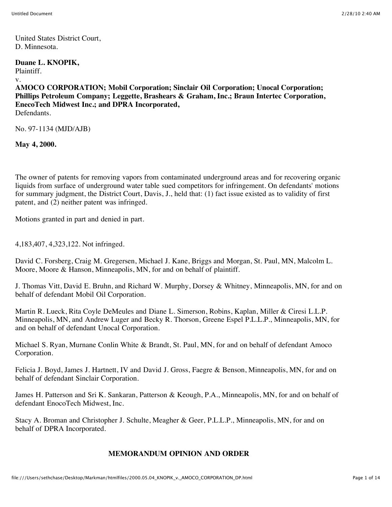United States District Court, D. Minnesota.

**Duane L. KNOPIK,**

Plaintiff.

v.

**AMOCO CORPORATION; Mobil Corporation; Sinclair Oil Corporation; Unocal Corporation; Phillips Petroleum Company; Leggette, Brashears & Graham, Inc.; Braun Intertec Corporation, EnecoTech Midwest Inc.; and DPRA Incorporated,** Defendants.

No. 97-1134 (MJD/AJB)

**May 4, 2000.**

The owner of patents for removing vapors from contaminated underground areas and for recovering organic liquids from surface of underground water table sued competitors for infringement. On defendants' motions for summary judgment, the District Court, Davis, J., held that: (1) fact issue existed as to validity of first patent, and (2) neither patent was infringed.

Motions granted in part and denied in part.

4,183,407, 4,323,122. Not infringed.

David C. Forsberg, Craig M. Gregersen, Michael J. Kane, Briggs and Morgan, St. Paul, MN, Malcolm L. Moore, Moore & Hanson, Minneapolis, MN, for and on behalf of plaintiff.

J. Thomas Vitt, David E. Bruhn, and Richard W. Murphy, Dorsey & Whitney, Minneapolis, MN, for and on behalf of defendant Mobil Oil Corporation.

Martin R. Lueck, Rita Coyle DeMeules and Diane L. Simerson, Robins, Kaplan, Miller & Ciresi L.L.P. Minneapolis, MN, and Andrew Luger and Becky R. Thorson, Greene Espel P.L.L.P., Minneapolis, MN, for and on behalf of defendant Unocal Corporation.

Michael S. Ryan, Murnane Conlin White & Brandt, St. Paul, MN, for and on behalf of defendant Amoco Corporation.

Felicia J. Boyd, James J. Hartnett, IV and David J. Gross, Faegre & Benson, Minneapolis, MN, for and on behalf of defendant Sinclair Corporation.

James H. Patterson and Sri K. Sankaran, Patterson & Keough, P.A., Minneapolis, MN, for and on behalf of defendant EnocoTech Midwest, Inc.

Stacy A. Broman and Christopher J. Schulte, Meagher & Geer, P.L.L.P., Minneapolis, MN, for and on behalf of DPRA Incorporated.

# **MEMORANDUM OPINION AND ORDER**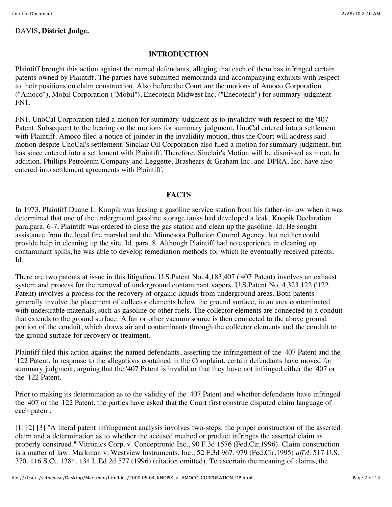### **INTRODUCTION**

Plaintiff brought this action against the named defendants, alleging that each of them has infringed certain patents owned by Plaintiff. The parties have submitted memoranda and accompanying exhibits with respect to their positions on claim construction. Also before the Court are the motions of Amoco Corporation ("Amoco"), Mobil Corporation ("Mobil"), Enecotech Midwest Inc. ("Enecotech") for summary judgment FN1.

FN1. UnoCal Corporation filed a motion for summary judgment as to invalidity with respect to the '407 Patent. Subsequent to the hearing on the motions for summary judgment, UnoCal entered into a settlement with Plaintiff. Amoco filed a notice of joinder in the invalidity motion, thus the Court will address said motion despite UnoCal's settlement. Sinclair Oil Corporation also filed a motion for summary judgment, but has since entered into a settlement with Plaintiff. Therefore, Sinclair's Motion will be dismissed as moot. In addition, Phillips Petroleum Company and Leggette, Brashears & Graham Inc. and DPRA, Inc. have also entered into settlement agreements with Plaintiff.

#### **FACTS**

In 1973, Plaintiff Duane L. Knopik was leasing a gasoline service station from his father-in-law when it was determined that one of the underground gasoline storage tanks had developed a leak. Knopik Declaration para.para. 6-7. Plaintiff was ordered to close the gas station and clean up the gasoline. Id. He sought assistance from the local fire marshal and the Minnesota Pollution Control Agency, but neither could provide help in cleaning up the site. Id. para. 8. Although Plaintiff had no experience in cleaning up contaminant spills, he was able to develop remediation methods for which he eventually received patents. Id.

There are two patents at issue in this litigation. U.S.Patent No. 4,183,407 ('407 Patent) involves an exhaust system and process for the removal of underground contaminant vapors. U.S.Patent No. 4,323,122 ('122 Patent) involves a process for the recovery of organic liquids from underground areas. Both patents generally involve the placement of collector elements below the ground surface, in an area contaminated with undesirable materials, such as gasoline or other fuels. The collector elements are connected to a conduit that extends to the ground surface. A fan or other vacuum source is then connected to the above ground portion of the conduit, which draws air and contaminants through the collector elements and the conduit to the ground surface for recovery or treatment.

Plaintiff filed this action against the named defendants, asserting the infringement of the '407 Patent and the '122 Patent. In response to the allegations contained in the Complaint, certain defendants have moved for summary judgment, arguing that the '407 Patent is invalid or that they have not infringed either the '407 or the '122 Patent.

Prior to making its determination as to the validity of the '407 Patent and whether defendants have infringed the '407 or the '122 Patent, the parties have asked that the Court first construe disputed claim language of each patent.

[1] [2] [3] "A literal patent infringement analysis involves two-steps: the proper construction of the asserted claim and a determination as to whether the accused method or product infringes the asserted claim as properly construed." Vitronics Corp. v. Conceptronic Inc., 90 F.3d 1576 (Fed.Cir.1996). Claim construction is a matter of law. Markman v. Westview Instruments, Inc., 52 F.3d 967, 979 (Fed.Cir.1995) *aff'd,* 517 U.S. 370, 116 S.Ct. 1384, 134 L.Ed.2d 577 (1996) (citation omitted). To ascertain the meaning of claims, the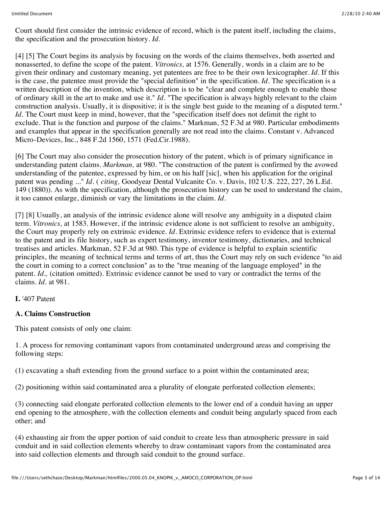Court should first consider the intrinsic evidence of record, which is the patent itself, including the claims, the specification and the prosecution history. *Id.*

[4] [5] The Court begins its analysis by focusing on the words of the claims themselves, both asserted and nonasserted, to define the scope of the patent. *Vitronics,* at 1576. Generally, words in a claim are to be given their ordinary and customary meaning, yet patentees are free to be their own lexicographer. *Id.* If this is the case, the patentee must provide the "special definition" in the specification. *Id.* The specification is a written description of the invention, which description is to be "clear and complete enough to enable those of ordinary skill in the art to make and use it." *Id.* "The specification is always highly relevant to the claim construction analysis. Usually, it is dispositive; it is the single best guide to the meaning of a disputed term." *Id.* The Court must keep in mind, however, that the "specification itself does not delimit the right to exclude. That is the function and purpose of the claims." Markman, 52 F.3d at 980. Particular embodiments and examples that appear in the specification generally are not read into the claims. Constant v. Advanced Micro-Devices, Inc., 848 F.2d 1560, 1571 (Fed.Cir.1988).

[6] The Court may also consider the prosecution history of the patent, which is of primary significance in understanding patent claims. *Markman,* at 980. "The construction of the patent is confirmed by the avowed understanding of the patentee, expressed by him, or on his half [sic], when his application for the original patent was pending ..." *Id.* ( *citing,* Goodyear Dental Vulcanite Co. v. Davis, 102 U.S. 222, 227, 26 L.Ed. 149 (1880)). As with the specification, although the prosecution history can be used to understand the claim, it too cannot enlarge, diminish or vary the limitations in the claim. *Id.*

[7] [8] Usually, an analysis of the intrinsic evidence alone will resolve any ambiguity in a disputed claim term. *Vitronics,* at 1583. However, if the intrinsic evidence alone is not sufficient to resolve an ambiguity, the Court may properly rely on extrinsic evidence. *Id.* Extrinsic evidence refers to evidence that is external to the patent and its file history, such as expert testimony, inventor testimony, dictionaries, and technical treatises and articles. Markman, 52 F.3d at 980. This type of evidence is helpful to explain scientific principles, the meaning of technical terms and terms of art, thus the Court may rely on such evidence "to aid the court in coming to a correct conclusion" as to the "true meaning of the language employed" in the patent. *Id.,* (citation omitted). Extrinsic evidence cannot be used to vary or contradict the terms of the claims. *Id.* at 981.

**I.** '407 Patent

### **A. Claims Construction**

This patent consists of only one claim:

1. A process for removing contaminant vapors from contaminated underground areas and comprising the following steps:

(1) excavating a shaft extending from the ground surface to a point within the contaminated area;

(2) positioning within said contaminated area a plurality of elongate perforated collection elements;

(3) connecting said elongate perforated collection elements to the lower end of a conduit having an upper end opening to the atmosphere, with the collection elements and conduit being angularly spaced from each other; and

(4) exhausting air from the upper portion of said conduit to create less than atmospheric pressure in said conduit and in said collection elements whereby to draw contaminant vapors from the contaminated area into said collection elements and through said conduit to the ground surface.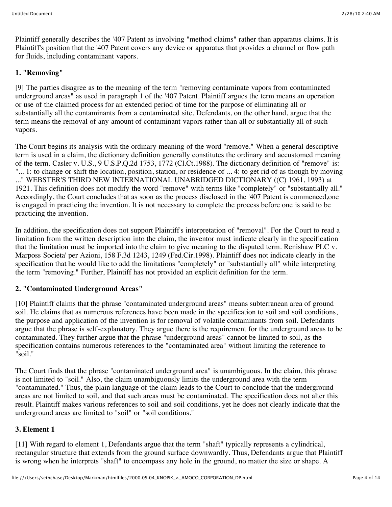Plaintiff generally describes the '407 Patent as involving "method claims" rather than apparatus claims. It is Plaintiff's position that the '407 Patent covers any device or apparatus that provides a channel or flow path for fluids, including contaminant vapors.

# **1. "Removing"**

[9] The parties disagree as to the meaning of the term "removing contaminate vapors from contaminated underground areas" as used in paragraph 1 of the '407 Patent. Plaintiff argues the term means an operation or use of the claimed process for an extended period of time for the purpose of eliminating all or substantially all the contaminants from a contaminated site. Defendants, on the other hand, argue that the term means the removal of any amount of contaminant vapors rather than all or substantially all of such vapors.

The Court begins its analysis with the ordinary meaning of the word "remove." When a general descriptive term is used in a claim, the dictionary definition generally constitutes the ordinary and accustomed meaning of the term. Casler v. U.S., 9 U.S.P.Q.2d 1753, 1772 (Cl.Ct.1988). The dictionary definition of "remove" is: "... 1: to change or shift the location, position, station, or residence of ... 4: to get rid of as though by moving ..." WEBSTER'S THIRD NEW INTERNATIONAL UNABRIDGED DICTIONARY ((C) 1961, 1993) at 1921. This definition does not modify the word "remove" with terms like "completely" or "substantially all." Accordingly, the Court concludes that as soon as the process disclosed in the '407 Patent is commenced,one is engaged in practicing the invention. It is not necessary to complete the process before one is said to be practicing the invention.

In addition, the specification does not support Plaintiff's interpretation of "removal". For the Court to read a limitation from the written description into the claim, the inventor must indicate clearly in the specification that the limitation must be imported into the claim to give meaning to the disputed term. Renishaw PLC v. Marposs Societa' per Azioni, 158 F.3d 1243, 1249 (Fed.Cir.1998). Plaintiff does not indicate clearly in the specification that he would like to add the limitations "completely" or "substantially all" while interpreting the term "removing." Further, Plaintiff has not provided an explicit definition for the term.

## **2. "Contaminated Underground Areas"**

[10] Plaintiff claims that the phrase "contaminated underground areas" means subterranean area of ground soil. He claims that as numerous references have been made in the specification to soil and soil conditions, the purpose and application of the invention is for removal of volatile contaminants from soil. Defendants argue that the phrase is self-explanatory. They argue there is the requirement for the underground areas to be contaminated. They further argue that the phrase "underground areas" cannot be limited to soil, as the specification contains numerous references to the "contaminated area" without limiting the reference to "soil."

The Court finds that the phrase "contaminated underground area" is unambiguous. In the claim, this phrase is not limited to "soil." Also, the claim unambiguously limits the underground area with the term "contaminated." Thus, the plain language of the claim leads to the Court to conclude that the underground areas are not limited to soil, and that such areas must be contaminated. The specification does not alter this result. Plaintiff makes various references to soil and soil conditions, yet he does not clearly indicate that the underground areas are limited to "soil" or "soil conditions."

# **3. Element 1**

[11] With regard to element 1, Defendants argue that the term "shaft" typically represents a cylindrical, rectangular structure that extends from the ground surface downwardly. Thus, Defendants argue that Plaintiff is wrong when he interprets "shaft" to encompass any hole in the ground, no matter the size or shape. A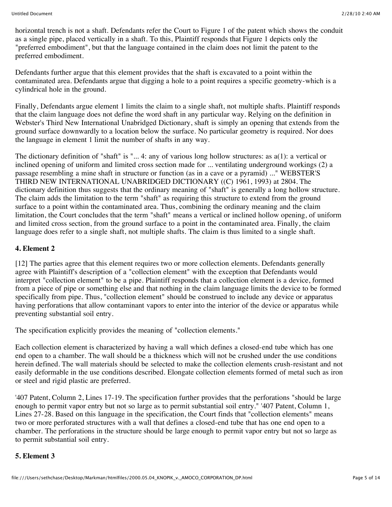horizontal trench is not a shaft. Defendants refer the Court to Figure 1 of the patent which shows the conduit as a single pipe, placed vertically in a shaft. To this, Plaintiff responds that Figure 1 depicts only the "preferred embodiment", but that the language contained in the claim does not limit the patent to the preferred embodiment.

Defendants further argue that this element provides that the shaft is excavated to a point within the contaminated area. Defendants argue that digging a hole to a point requires a specific geometry-which is a cylindrical hole in the ground.

Finally, Defendants argue element 1 limits the claim to a single shaft, not multiple shafts. Plaintiff responds that the claim language does not define the word shaft in any particular way. Relying on the definition in Webster's Third New International Unabridged Dictionary, shaft is simply an opening that extends from the ground surface downwardly to a location below the surface. No particular geometry is required. Nor does the language in element 1 limit the number of shafts in any way.

The dictionary definition of "shaft" is "... 4: any of various long hollow structures: as a(1): a vertical or inclined opening of uniform and limited cross section made for ... ventilating underground workings (2) a passage resembling a mine shaft in structure or function (as in a cave or a pyramid) ..." WEBSTER'S THIRD NEW INTERNATIONAL UNABRIDGED DICTIONARY ((C) 1961, 1993) at 2804. The dictionary definition thus suggests that the ordinary meaning of "shaft" is generally a long hollow structure. The claim adds the limitation to the term "shaft" as requiring this structure to extend from the ground surface to a point within the contaminated area. Thus, combining the ordinary meaning and the claim limitation, the Court concludes that the term "shaft" means a vertical or inclined hollow opening, of uniform and limited cross section, from the ground surface to a point in the contaminated area. Finally, the claim language does refer to a single shaft, not multiple shafts. The claim is thus limited to a single shaft.

### **4. Element 2**

[12] The parties agree that this element requires two or more collection elements. Defendants generally agree with Plaintiff's description of a "collection element" with the exception that Defendants would interpret "collection element" to be a pipe. Plaintiff responds that a collection element is a device, formed from a piece of pipe or something else and that nothing in the claim language limits the device to be formed specifically from pipe. Thus, "collection element" should be construed to include any device or apparatus having perforations that allow contaminant vapors to enter into the interior of the device or apparatus while preventing substantial soil entry.

The specification explicitly provides the meaning of "collection elements."

Each collection element is characterized by having a wall which defines a closed-end tube which has one end open to a chamber. The wall should be a thickness which will not be crushed under the use conditions herein defined. The wall materials should be selected to make the collection elements crush-resistant and not easily deformable in the use conditions described. Elongate collection elements formed of metal such as iron or steel and rigid plastic are preferred.

'407 Patent, Column 2, Lines 17-19. The specification further provides that the perforations "should be large enough to permit vapor entry but not so large as to permit substantial soil entry." '407 Patent, Column 1, Lines 27-28. Based on this language in the specification, the Court finds that "collection elements" means two or more perforated structures with a wall that defines a closed-end tube that has one end open to a chamber. The perforations in the structure should be large enough to permit vapor entry but not so large as to permit substantial soil entry.

### **5. Element 3**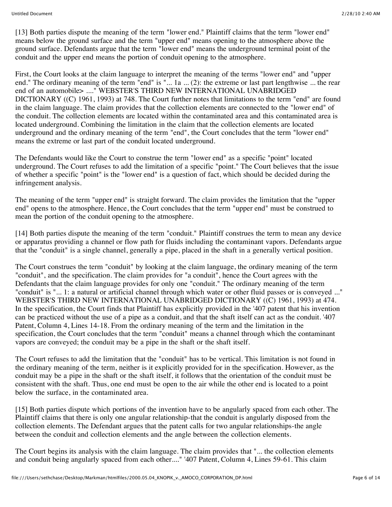[13] Both parties dispute the meaning of the term "lower end." Plaintiff claims that the term "lower end" means below the ground surface and the term "upper end" means opening to the atmosphere above the ground surface. Defendants argue that the term "lower end" means the underground terminal point of the conduit and the upper end means the portion of conduit opening to the atmosphere.

First, the Court looks at the claim language to interpret the meaning of the terms "lower end" and "upper end." The ordinary meaning of the term "end" is "... 1a ... (2): the extreme or last part lengthwise ... the rear end of an automobile> ...." WEBSTER'S THIRD NEW INTERNATIONAL UNABRIDGED DICTIONARY ((C) 1961, 1993) at 748. The Court further notes that limitations to the term "end" are found in the claim language. The claim provides that the collection elements are connected to the "lower end" of the conduit. The collection elements are located within the contaminated area and this contaminated area is located underground. Combining the limitation in the claim that the collection elements are located underground and the ordinary meaning of the term "end", the Court concludes that the term "lower end" means the extreme or last part of the conduit located underground.

The Defendants would like the Court to construe the term "lower end" as a specific "point" located underground. The Court refuses to add the limitation of a specific "point." The Court believes that the issue of whether a specific "point" is the "lower end" is a question of fact, which should be decided during the infringement analysis.

The meaning of the term "upper end" is straight forward. The claim provides the limitation that the "upper end" opens to the atmosphere. Hence, the Court concludes that the term "upper end" must be construed to mean the portion of the conduit opening to the atmosphere.

[14] Both parties dispute the meaning of the term "conduit." Plaintiff construes the term to mean any device or apparatus providing a channel or flow path for fluids including the contaminant vapors. Defendants argue that the "conduit" is a single channel, generally a pipe, placed in the shaft in a generally vertical position.

The Court construes the term "conduit" by looking at the claim language, the ordinary meaning of the term "conduit", and the specification. The claim provides for "a conduit", hence the Court agrees with the Defendants that the claim language provides for only one "conduit." The ordinary meaning of the term "conduit" is "... 1: a natural or artificial channel through which water or other fluid passes or is conveyed ..." WEBSTER'S THIRD NEW INTERNATIONAL UNABRIDGED DICTIONARY ((C) 1961, 1993) at 474. In the specification, the Court finds that Plaintiff has explicitly provided in the '407 patent that his invention can be practiced without the use of a pipe as a conduit, and that the shaft itself can act as the conduit. '407 Patent, Column 4, Lines 14-18. From the ordinary meaning of the term and the limitation in the specification, the Court concludes that the term "conduit" means a channel through which the contaminant vapors are conveyed; the conduit may be a pipe in the shaft or the shaft itself.

The Court refuses to add the limitation that the "conduit" has to be vertical. This limitation is not found in the ordinary meaning of the term, neither is it explicitly provided for in the specification. However, as the conduit may be a pipe in the shaft or the shaft itself, it follows that the orientation of the conduit must be consistent with the shaft. Thus, one end must be open to the air while the other end is located to a point below the surface, in the contaminated area.

[15] Both parties dispute which portions of the invention have to be angularly spaced from each other. The Plaintiff claims that there is only one angular relationship-that the conduit is angularly disposed from the collection elements. The Defendant argues that the patent calls for two angular relationships-the angle between the conduit and collection elements and the angle between the collection elements.

The Court begins its analysis with the claim language. The claim provides that "... the collection elements and conduit being angularly spaced from each other...." '407 Patent, Column 4, Lines 59-61. This claim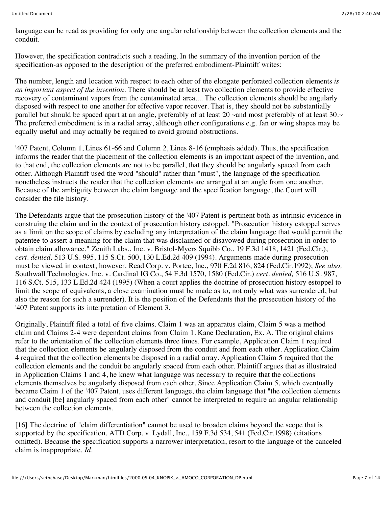language can be read as providing for only one angular relationship between the collection elements and the conduit.

However, the specification contradicts such a reading. In the summary of the invention portion of the specification-as opposed to the description of the preferred embodiment-Plaintiff writes:

The number, length and location with respect to each other of the elongate perforated collection elements *is an important aspect of the invention.* There should be at least two collection elements to provide effective recovery of contaminant vapors from the contaminated area.... The collection elements should be angularly disposed with respect to one another for effective vapor recover. That is, they should not be substantially parallel but should be spaced apart at an angle, preferably of at least 20 ~and most preferably of at least 30.~ The preferred embodiment is in a radial array, although other configurations e.g. fan or wing shapes may be equally useful and may actually be required to avoid ground obstructions.

'407 Patent, Column 1, Lines 61-66 and Column 2, Lines 8-16 (emphasis added). Thus, the specification informs the reader that the placement of the collection elements is an important aspect of the invention, and to that end, the collection elements are not to be parallel, that they should be angularly spaced from each other. Although Plaintiff used the word "should" rather than "must", the language of the specification nonetheless instructs the reader that the collection elements are arranged at an angle from one another. Because of the ambiguity between the claim language and the specification language, the Court will consider the file history.

The Defendants argue that the prosecution history of the '407 Patent is pertinent both as intrinsic evidence in construing the claim and in the context of prosecution history estoppel. "Prosecution history estoppel serves as a limit on the scope of claims by excluding any interpretation of the claim language that would permit the patentee to assert a meaning for the claim that was disclaimed or disavowed during prosecution in order to obtain claim allowance." Zenith Labs., Inc. v. Bristol-Myers Squibb Co., 19 F.3d 1418, 1421 (Fed.Cir.), *cert. denied,* 513 U.S. 995, 115 S.Ct. 500, 130 L.Ed.2d 409 (1994). Arguments made during prosecution must be viewed in context, however. Read Corp. v. Portec, Inc., 970 F.2d 816, 824 (Fed.Cir.1992); *See also,* Southwall Technologies, Inc. v. Cardinal IG Co., 54 F.3d 1570, 1580 (Fed.Cir.) *cert. denied,* 516 U.S. 987, 116 S.Ct. 515, 133 L.Ed.2d 424 (1995) (When a court applies the doctrine of prosecution history estoppel to limit the scope of equivalents, a close examination must be made as to, not only what was surrendered, but also the reason for such a surrender). It is the position of the Defendants that the prosecution history of the '407 Patent supports its interpretation of Element 3.

Originally, Plaintiff filed a total of five claims. Claim 1 was an apparatus claim, Claim 5 was a method claim and Claims 2-4 were dependent claims from Claim 1. Kane Declaration, Ex. A. The original claims refer to the orientation of the collection elements three times. For example, Application Claim 1 required that the collection elements be angularly disposed from the conduit and from each other. Application Claim 4 required that the collection elements be disposed in a radial array. Application Claim 5 required that the collection elements and the conduit be angularly spaced from each other. Plaintiff argues that as illustrated in Application Claims 1 and 4, he knew what language was necessary to require that the collections elements themselves be angularly disposed from each other. Since Application Claim 5, which eventually became Claim 1 of the '407 Patent, uses different language, the claim language that "the collection elements and conduit [be] angularly spaced from each other" cannot be interpreted to require an angular relationship between the collection elements.

[16] The doctrine of "claim differentiation" cannot be used to broaden claims beyond the scope that is supported by the specification. ATD Corp. v. Lydall, Inc., 159 F.3d 534, 541 (Fed.Cir.1998) (citations omitted). Because the specification supports a narrower interpretation, resort to the language of the canceled claim is inappropriate. *Id.*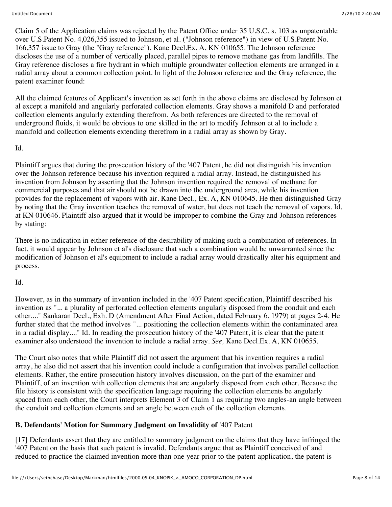Claim 5 of the Application claims was rejected by the Patent Office under 35 U.S.C. s. 103 as unpatentable over U.S.Patent No. 4,026,355 issued to Johnson, et al. ("Johnson reference") in view of U.S.Patent No. 166,357 issue to Gray (the "Gray reference"). Kane Decl.Ex. A, KN 010655. The Johnson reference discloses the use of a number of vertically placed, parallel pipes to remove methane gas from landfills. The Gray reference discloses a fire hydrant in which multiple groundwater collection elements are arranged in a radial array about a common collection point. In light of the Johnson reference and the Gray reference, the patent examiner found:

All the claimed features of Applicant's invention as set forth in the above claims are disclosed by Johnson et al except a manifold and angularly perforated collection elements. Gray shows a manifold D and perforated collection elements angularly extending therefrom. As both references are directed to the removal of underground fluids, it would be obvious to one skilled in the art to modify Johnson et al to include a manifold and collection elements extending therefrom in a radial array as shown by Gray.

### Id.

Plaintiff argues that during the prosecution history of the '407 Patent, he did not distinguish his invention over the Johnson reference because his invention required a radial array. Instead, he distinguished his invention from Johnson by asserting that the Johnson invention required the removal of methane for commercial purposes and that air should not be drawn into the underground area, while his invention provides for the replacement of vapors with air. Kane Decl., Ex. A, KN 010645. He then distinguished Gray by noting that the Gray invention teaches the removal of water, but does not teach the removal of vapors. Id. at KN 010646. Plaintiff also argued that it would be improper to combine the Gray and Johnson references by stating:

There is no indication in either reference of the desirability of making such a combination of references. In fact, it would appear by Johnson et al's disclosure that such a combination would be unwarranted since the modification of Johnson et al's equipment to include a radial array would drastically alter his equipment and process.

## Id.

However, as in the summary of invention included in the '407 Patent specification, Plaintiff described his invention as "... a plurality of perforated collection elements angularly disposed from the conduit and each other...." Sankaran Decl., Exh. D (Amendment After Final Action, dated February 6, 1979) at pages 2-4. He further stated that the method involves "... positioning the collection elements within the contaminated area in a radial display...." Id. In reading the prosecution history of the '407 Patent, it is clear that the patent examiner also understood the invention to include a radial array. *See,* Kane Decl.Ex. A, KN 010655.

The Court also notes that while Plaintiff did not assert the argument that his invention requires a radial array, he also did not assert that his invention could include a configuration that involves parallel collection elements. Rather, the entire prosecution history involves discussion, on the part of the examiner and Plaintiff, of an invention with collection elements that are angularly disposed from each other. Because the file history is consistent with the specification language requiring the collection elements be angularly spaced from each other, the Court interprets Element 3 of Claim 1 as requiring two angles-an angle between the conduit and collection elements and an angle between each of the collection elements.

## **B. Defendants' Motion for Summary Judgment on Invalidity of** '407 Patent

[17] Defendants assert that they are entitled to summary judgment on the claims that they have infringed the '407 Patent on the basis that such patent is invalid. Defendants argue that as Plaintiff conceived of and reduced to practice the claimed invention more than one year prior to the patent application, the patent is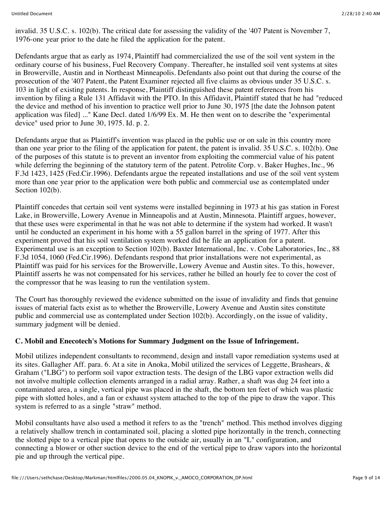invalid. 35 U.S.C. s. 102(b). The critical date for assessing the validity of the '407 Patent is November 7, 1976-one year prior to the date he filed the application for the patent.

Defendants argue that as early as 1974, Plaintiff had commercialized the use of the soil vent system in the ordinary course of his business, Fuel Recovery Company. Thereafter, he installed soil vent systems at sites in Browerville, Austin and in Northeast Minneapolis. Defendants also point out that during the course of the prosecution of the '407 Patent, the Patent Examiner rejected all five claims as obvious under 35 U.S.C. s. 103 in light of existing patents. In response, Plaintiff distinguished these patent references from his invention by filing a Rule 131 Affidavit with the PTO. In this Affidavit, Plaintiff stated that he had "reduced the device and method of his invention to practice well prior to June 30, 1975 [the date the Johnson patent application was filed] ..." Kane Decl. dated 1/6/99 Ex. M. He then went on to describe the "experimental device" used prior to June 30, 1975. Id. p. 2.

Defendants argue that as Plaintiff's invention was placed in the public use or on sale in this country more than one year prior to the filing of the application for patent, the patent is invalid. 35 U.S.C. s. 102(b). One of the purposes of this statute is to prevent an inventor from exploiting the commercial value of his patent while deferring the beginning of the statutory term of the patent. Petrolite Corp. v. Baker Hughes, Inc., 96 F.3d 1423, 1425 (Fed.Cir.1996). Defendants argue the repeated installations and use of the soil vent system more than one year prior to the application were both public and commercial use as contemplated under Section 102(b).

Plaintiff concedes that certain soil vent systems were installed beginning in 1973 at his gas station in Forest Lake, in Browerville, Lowery Avenue in Minneapolis and at Austin, Minnesota. Plaintiff argues, however, that these uses were experimental in that he was not able to determine if the system had worked. It wasn't until he conducted an experiment in his home with a 55 gallon barrel in the spring of 1977. After this experiment proved that his soil ventilation system worked did he file an application for a patent. Experimental use is an exception to Section 102(b). Baxter International, Inc. v. Cobe Laboratories, Inc., 88 F.3d 1054, 1060 (Fed.Cir.1996). Defendants respond that prior installations were not experimental, as Plaintiff was paid for his services for the Browerville, Lowery Avenue and Austin sites. To this, however, Plaintiff asserts he was not compensated for his services, rather he billed an hourly fee to cover the cost of the compressor that he was leasing to run the ventilation system.

The Court has thoroughly reviewed the evidence submitted on the issue of invalidity and finds that genuine issues of material facts exist as to whether the Browerville, Lowery Avenue and Austin sites constitute public and commercial use as contemplated under Section 102(b). Accordingly, on the issue of validity, summary judgment will be denied.

### **C. Mobil and Enecotech's Motions for Summary Judgment on the Issue of Infringement.**

Mobil utilizes independent consultants to recommend, design and install vapor remediation systems used at its sites. Gallagher Aff. para. 6. At a site in Anoka, Mobil utilized the services of Leggette, Brashears,  $\&$ Graham ("LBG") to perform soil vapor extraction tests. The design of the LBG vapor extraction wells did not involve multiple collection elements arranged in a radial array. Rather, a shaft was dug 24 feet into a contaminated area, a single, vertical pipe was placed in the shaft, the bottom ten feet of which was plastic pipe with slotted holes, and a fan or exhaust system attached to the top of the pipe to draw the vapor. This system is referred to as a single "straw" method.

Mobil consultants have also used a method it refers to as the "trench" method. This method involves digging a relatively shallow trench in contaminated soil, placing a slotted pipe horizontally in the trench, connecting the slotted pipe to a vertical pipe that opens to the outside air, usually in an "L" configuration, and connecting a blower or other suction device to the end of the vertical pipe to draw vapors into the horizontal pie and up through the vertical pipe.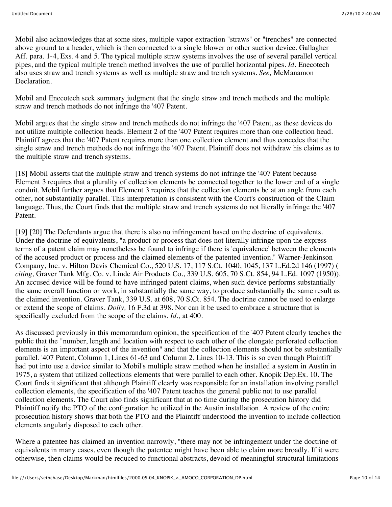Mobil also acknowledges that at some sites, multiple vapor extraction "straws" or "trenches" are connected above ground to a header, which is then connected to a single blower or other suction device. Gallagher Aff. para. 1-4, Exs. 4 and 5. The typical multiple straw systems involves the use of several parallel vertical pipes, and the typical multiple trench method involves the use of parallel horizontal pipes. *Id.* Enecotech also uses straw and trench systems as well as multiple straw and trench systems. *See,* McManamon Declaration.

Mobil and Enecotech seek summary judgment that the single straw and trench methods and the multiple straw and trench methods do not infringe the '407 Patent.

Mobil argues that the single straw and trench methods do not infringe the '407 Patent, as these devices do not utilize multiple collection heads. Element 2 of the '407 Patent requires more than one collection head. Plaintiff agrees that the '407 Patent requires more than one collection element and thus concedes that the single straw and trench methods do not infringe the '407 Patent. Plaintiff does not withdraw his claims as to the multiple straw and trench systems.

[18] Mobil asserts that the multiple straw and trench systems do not infringe the '407 Patent because Element 3 requires that a plurality of collection elements be connected together to the lower end of a single conduit. Mobil further argues that Element 3 requires that the collection elements be at an angle from each other, not substantially parallel. This interpretation is consistent with the Court's construction of the Claim language. Thus, the Court finds that the multiple straw and trench systems do not literally infringe the '407 Patent.

[19] [20] The Defendants argue that there is also no infringement based on the doctrine of equivalents. Under the doctrine of equivalents, "a product or process that does not literally infringe upon the express terms of a patent claim may nonetheless be found to infringe if there is 'equivalence' between the elements of the accused product or process and the claimed elements of the patented invention." Warner-Jenkinson Company, Inc. v. Hilton Davis Chemical Co., 520 U.S. 17, 117 S.Ct. 1040, 1045, 137 L.Ed.2d 146 (1997) ( *citing,* Graver Tank Mfg. Co. v. Linde Air Products Co., 339 U.S. 605, 70 S.Ct. 854, 94 L.Ed. 1097 (1950)). An accused device will be found to have infringed patent claims, when such device performs substantially the same overall function or work, in substantially the same way, to produce substantially the same result as the claimed invention. Graver Tank, 339 U.S. at 608, 70 S.Ct. 854. The doctrine cannot be used to enlarge or extend the scope of claims. *Dolly,* 16 F.3d at 398. Nor can it be used to embrace a structure that is specifically excluded from the scope of the claims. *Id.,* at 400.

As discussed previously in this memorandum opinion, the specification of the '407 Patent clearly teaches the public that the "number, length and location with respect to each other of the elongate perforated collection elements is an important aspect of the invention" and that the collection elements should not be substantially parallel. '407 Patent, Column 1, Lines 61-63 and Column 2, Lines 10-13. This is so even though Plaintiff had put into use a device similar to Mobil's multiple straw method when he installed a system in Austin in 1975, a system that utilized collections elements that were parallel to each other. Knopik Dep.Ex. 10. The Court finds it significant that although Plaintiff clearly was responsible for an installation involving parallel collection elements, the specification of the '407 Patent teaches the general public not to use parallel collection elements. The Court also finds significant that at no time during the prosecution history did Plaintiff notify the PTO of the configuration he utilized in the Austin installation. A review of the entire prosecution history shows that both the PTO and the Plaintiff understood the invention to include collection elements angularly disposed to each other.

Where a patentee has claimed an invention narrowly, "there may not be infringement under the doctrine of equivalents in many cases, even though the patentee might have been able to claim more broadly. If it were otherwise, then claims would be reduced to functional abstracts, devoid of meaningful structural limitations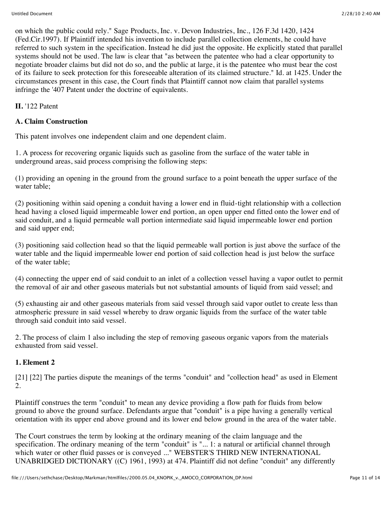on which the public could rely." Sage Products, Inc. v. Devon Industries, Inc., 126 F.3d 1420, 1424 (Fed.Cir.1997). If Plaintiff intended his invention to include parallel collection elements, he could have referred to such system in the specification. Instead he did just the opposite. He explicitly stated that parallel systems should not be used. The law is clear that "as between the patentee who had a clear opportunity to negotiate broader claims but did not do so, and the public at large, it is the patentee who must bear the cost of its failure to seek protection for this foreseeable alteration of its claimed structure." Id. at 1425. Under the circumstances present in this case, the Court finds that Plaintiff cannot now claim that parallel systems infringe the '407 Patent under the doctrine of equivalents.

**II.** '122 Patent

# **A. Claim Construction**

This patent involves one independent claim and one dependent claim.

1. A process for recovering organic liquids such as gasoline from the surface of the water table in underground areas, said process comprising the following steps:

(1) providing an opening in the ground from the ground surface to a point beneath the upper surface of the water table;

(2) positioning within said opening a conduit having a lower end in fluid-tight relationship with a collection head having a closed liquid impermeable lower end portion, an open upper end fitted onto the lower end of said conduit, and a liquid permeable wall portion intermediate said liquid impermeable lower end portion and said upper end;

(3) positioning said collection head so that the liquid permeable wall portion is just above the surface of the water table and the liquid impermeable lower end portion of said collection head is just below the surface of the water table;

(4) connecting the upper end of said conduit to an inlet of a collection vessel having a vapor outlet to permit the removal of air and other gaseous materials but not substantial amounts of liquid from said vessel; and

(5) exhausting air and other gaseous materials from said vessel through said vapor outlet to create less than atmospheric pressure in said vessel whereby to draw organic liquids from the surface of the water table through said conduit into said vessel.

2. The process of claim 1 also including the step of removing gaseous organic vapors from the materials exhausted from said vessel.

# **1. Element 2**

[21] [22] The parties dispute the meanings of the terms "conduit" and "collection head" as used in Element 2.

Plaintiff construes the term "conduit" to mean any device providing a flow path for fluids from below ground to above the ground surface. Defendants argue that "conduit" is a pipe having a generally vertical orientation with its upper end above ground and its lower end below ground in the area of the water table.

The Court construes the term by looking at the ordinary meaning of the claim language and the specification. The ordinary meaning of the term "conduit" is "... 1: a natural or artificial channel through which water or other fluid passes or is conveyed ..." WEBSTER'S THIRD NEW INTERNATIONAL UNABRIDGED DICTIONARY ((C) 1961, 1993) at 474. Plaintiff did not define "conduit" any differently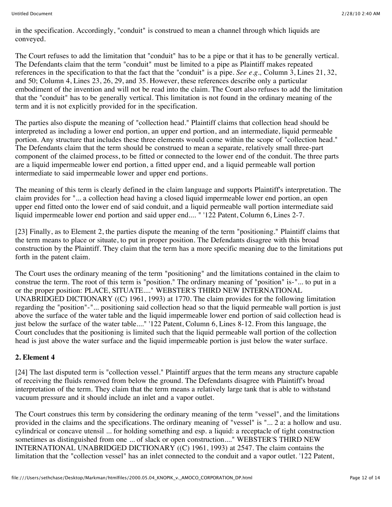in the specification. Accordingly, "conduit" is construed to mean a channel through which liquids are conveyed.

The Court refuses to add the limitation that "conduit" has to be a pipe or that it has to be generally vertical. The Defendants claim that the term "conduit" must be limited to a pipe as Plaintiff makes repeated references in the specification to that the fact that the "conduit" is a pipe. *See e.g.,* Column 3, Lines 21, 32, and 50; Column 4, Lines 23, 26, 29, and 35. However, these references describe only a particular embodiment of the invention and will not be read into the claim. The Court also refuses to add the limitation that the "conduit" has to be generally vertical. This limitation is not found in the ordinary meaning of the term and it is not explicitly provided for in the specification.

The parties also dispute the meaning of "collection head." Plaintiff claims that collection head should be interpreted as including a lower end portion, an upper end portion, and an intermediate, liquid permeable portion. Any structure that includes these three elements would come within the scope of "collection head." The Defendants claim that the term should be construed to mean a separate, relatively small three-part component of the claimed process, to be fitted or connected to the lower end of the conduit. The three parts are a liquid impermeable lower end portion, a fitted upper end, and a liquid permeable wall portion intermediate to said impermeable lower and upper end portions.

The meaning of this term is clearly defined in the claim language and supports Plaintiff's interpretation. The claim provides for "... a collection head having a closed liquid impermeable lower end portion, an open upper end fitted onto the lower end of said conduit, and a liquid permeable wall portion intermediate said liquid impermeable lower end portion and said upper end.... " '122 Patent, Column 6, Lines 2-7.

[23] Finally, as to Element 2, the parties dispute the meaning of the term "positioning." Plaintiff claims that the term means to place or situate, to put in proper position. The Defendants disagree with this broad construction by the Plaintiff. They claim that the term has a more specific meaning due to the limitations put forth in the patent claim.

The Court uses the ordinary meaning of the term "positioning" and the limitations contained in the claim to construe the term. The root of this term is "position." The ordinary meaning of "position" is-"... to put in a or the proper position: PLACE, SITUATE...." WEBSTER'S THIRD NEW INTERNATIONAL UNABRIDGED DICTIONARY ((C) 1961, 1993) at 1770. The claim provides for the following limitation regarding the "position"-"... positioning said collection head so that the liquid permeable wall portion is just above the surface of the water table and the liquid impermeable lower end portion of said collection head is just below the surface of the water table...." '122 Patent, Column 6, Lines 8-12. From this language, the Court concludes that the positioning is limited such that the liquid permeable wall portion of the collection head is just above the water surface and the liquid impermeable portion is just below the water surface.

### **2. Element 4**

[24] The last disputed term is "collection vessel." Plaintiff argues that the term means any structure capable of receiving the fluids removed from below the ground. The Defendants disagree with Plaintiff's broad interpretation of the term. They claim that the term means a relatively large tank that is able to withstand vacuum pressure and it should include an inlet and a vapor outlet.

The Court construes this term by considering the ordinary meaning of the term "vessel", and the limitations provided in the claims and the specifications. The ordinary meaning of "vessel" is "... 2 a: a hollow and usu. cylindrical or concave utensil ... for holding something and esp. a liquid: a receptacle of tight construction sometimes as distinguished from one ... of slack or open construction...." WEBSTER'S THIRD NEW INTERNATIONAL UNABRIDGED DICTIONARY ((C) 1961, 1993) at 2547. The claim contains the limitation that the "collection vessel" has an inlet connected to the conduit and a vapor outlet. '122 Patent,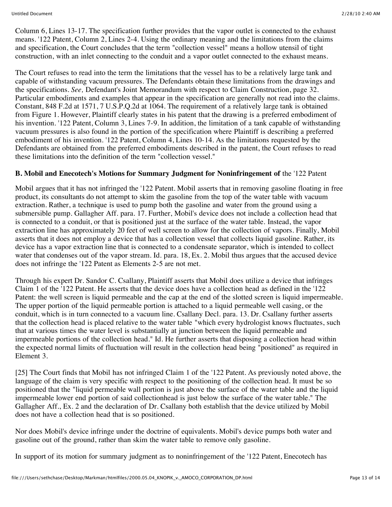Column 6, Lines 13-17. The specification further provides that the vapor outlet is connected to the exhaust means. '122 Patent, Column 2, Lines 2-4. Using the ordinary meaning and the limitations from the claims and specification, the Court concludes that the term "collection vessel" means a hollow utensil of tight construction, with an inlet connecting to the conduit and a vapor outlet connected to the exhaust means.

The Court refuses to read into the term the limitations that the vessel has to be a relatively large tank and capable of withstanding vacuum pressures. The Defendants obtain these limitations from the drawings and the specifications. *See,* Defendant's Joint Memorandum with respect to Claim Construction, page 32. Particular embodiments and examples that appear in the specification are generally not read into the claims. Constant, 848 F.2d at 1571, 7 U.S.P.Q.2d at 1064. The requirement of a relatively large tank is obtained from Figure 1. However, Plaintiff clearly states in his patent that the drawing is a preferred embodiment of his invention. '122 Patent, Column 3, Lines 7-9. In addition, the limitation of a tank capable of withstanding vacuum pressures is also found in the portion of the specification where Plaintiff is describing a preferred embodiment of his invention. '122 Patent, Column 4, Lines 10-14. As the limitations requested by the Defendants are obtained from the preferred embodiments described in the patent, the Court refuses to read these limitations into the definition of the term "collection vessel."

### **B. Mobil and Enecotech's Motions for Summary Judgment for Noninfringement of** the '122 Patent

Mobil argues that it has not infringed the '122 Patent. Mobil asserts that in removing gasoline floating in free product, its consultants do not attempt to skim the gasoline from the top of the water table with vacuum extraction. Rather, a technique is used to pump both the gasoline and water from the ground using a submersible pump. Gallagher Aff. para. 17. Further, Mobil's device does not include a collection head that is connected to a conduit, or that is positioned just at the surface of the water table. Instead, the vapor extraction line has approximately 20 feet of well screen to allow for the collection of vapors. Finally, Mobil asserts that it does not employ a device that has a collection vessel that collects liquid gasoline. Rather, its device has a vapor extraction line that is connected to a condensate separator, which is intended to collect water that condenses out of the vapor stream. Id. para. 18, Ex. 2. Mobil thus argues that the accused device does not infringe the '122 Patent as Elements 2-5 are not met.

Through his expert Dr. Sandor C. Csallany, Plaintiff asserts that Mobil does utilize a device that infringes Claim 1 of the '122 Patent. He asserts that the device does have a collection head as defined in the '122 Patent: the well screen is liquid permeable and the cap at the end of the slotted screen is liquid impermeable. The upper portion of the liquid permeable portion is attached to a liquid permeable well casing, or the conduit, which is in turn connected to a vacuum line. Csallany Decl. para. 13. Dr. Csallany further asserts that the collection head is placed relative to the water table "which every hydrologist knows fluctuates, such that at various times the water level is substantially at junction between the liquid permeable and impermeable portions of the collection head." Id. He further asserts that disposing a collection head within the expected normal limits of fluctuation will result in the collection head being "positioned" as required in Element 3.

[25] The Court finds that Mobil has not infringed Claim 1 of the '122 Patent. As previously noted above, the language of the claim is very specific with respect to the positioning of the collection head. It must be so positioned that the "liquid permeable wall portion is just above the surface of the water table and the liquid impermeable lower end portion of said collectionhead is just below the surface of the water table." The Gallagher Aff., Ex. 2 and the declaration of Dr. Csallany both establish that the device utilized by Mobil does not have a collection head that is so positioned.

Nor does Mobil's device infringe under the doctrine of equivalents. Mobil's device pumps both water and gasoline out of the ground, rather than skim the water table to remove only gasoline.

In support of its motion for summary judgment as to noninfringement of the '122 Patent, Enecotech has